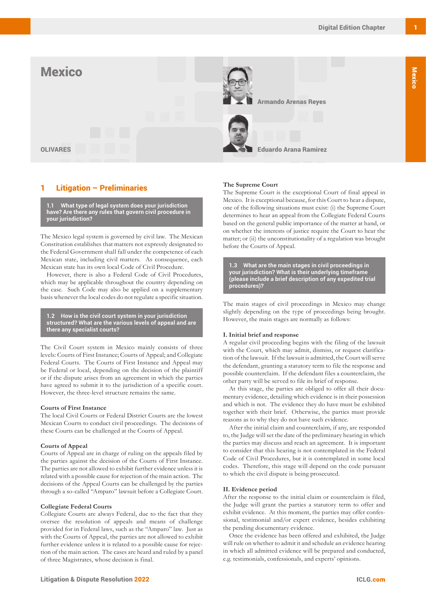

# Litigation – Preliminaries

**1.1 What type of legal system does your jurisdiction have? Are there any rules that govern civil procedure in your jurisdiction?**

The Mexico legal system is governed by civil law. The Mexican Constitution establishes that matters not expressly designated to the Federal Government shall fall under the competence of each Mexican state, including civil matters. As consequence, each Mexican state has its own local Code of Civil Procedure.

However, there is also a Federal Code of Civil Procedures, which may be applicable throughout the country depending on the case. Such Code may also be applied on a supplementary basis whenever the local codes do not regulate a specific situation.

**1.2 How is the civil court system in your jurisdiction structured? What are the various levels of appeal and are there any specialist courts?**

The Civil Court system in Mexico mainly consists of three levels: Courts of First Instance; Courts of Appeal; and Collegiate Federal Courts. The Courts of First Instance and Appeal may be Federal or local, depending on the decision of the plaintiff or if the dispute arises from an agreement in which the parties have agreed to submit it to the jurisdiction of a specific court. However, the three-level structure remains the same.

### **Courts of First Instance**

The local Civil Courts or Federal District Courts are the lowest Mexican Courts to conduct civil proceedings. The decisions of these Courts can be challenged at the Courts of Appeal.

### **Courts of Appeal**

Courts of Appeal are in charge of ruling on the appeals filed by the parties against the decision of the Courts of First Instance. The parties are not allowed to exhibit further evidence unless it is related with a possible cause for rejection of the main action. The decisions of the Appeal Courts can be challenged by the parties through a so-called "Amparo" lawsuit before a Collegiate Court.

### **Collegiate Federal Courts**

Collegiate Courts are always Federal, due to the fact that they oversee the resolution of appeals and means of challenge provided for in Federal laws, such as the "Amparo" law. Just as with the Courts of Appeal, the parties are not allowed to exhibit further evidence unless it is related to a possible cause for rejection of the main action. The cases are heard and ruled by a panel of three Magistrates, whose decision is final.

### **The Supreme Court**

The Supreme Court is the exceptional Court of final appeal in Mexico. It is exceptional because, for this Court to hear a dispute, one of the following situations must exist: (i) the Supreme Court determines to hear an appeal from the Collegiate Federal Courts based on the general public importance of the matter at hand, or on whether the interests of justice require the Court to hear the matter; or (ii) the unconstitutionality of a regulation was brought before the Courts of Appeal.

**1.3 What are the main stages in civil proceedings in your jurisdiction? What is their underlying timeframe (please include a brief description of any expedited trial procedures)?** 

The main stages of civil proceedings in Mexico may change slightly depending on the type of proceedings being brought. However, the main stages are normally as follows:

### **I. Initial brief and response**

A regular civil proceeding begins with the filing of the lawsuit with the Court, which may admit, dismiss, or request clarification of the lawsuit. If the lawsuit is admitted, the Court will serve the defendant, granting a statutory term to file the response and possible counterclaim. If the defendant files a counterclaim, the other party will be served to file its brief of response.

At this stage, the parties are obliged to offer all their documentary evidence, detailing which evidence is in their possession and which is not. The evidence they do have must be exhibited together with their brief. Otherwise, the parties must provide reasons as to why they do not have such evidence.

After the initial claim and counterclaim, if any, are responded to, the Judge will set the date of the preliminary hearing in which the parties may discuss and reach an agreement. It is important to consider that this hearing is not contemplated in the Federal Code of Civil Procedures, but it is contemplated in some local codes. Therefore, this stage will depend on the code pursuant to which the civil dispute is being prosecuted.

### **II. Evidence period**

After the response to the initial claim or counterclaim is filed, the Judge will grant the parties a statutory term to offer and exhibit evidence. At this moment, the parties may offer confessional, testimonial and/or expert evidence, besides exhibiting the pending documentary evidence.

Once the evidence has been offered and exhibited, the Judge will rule on whether to admit it and schedule an evidence hearing in which all admitted evidence will be prepared and conducted, e.g. testimonials, confessionals, and experts' opinions.

Mexico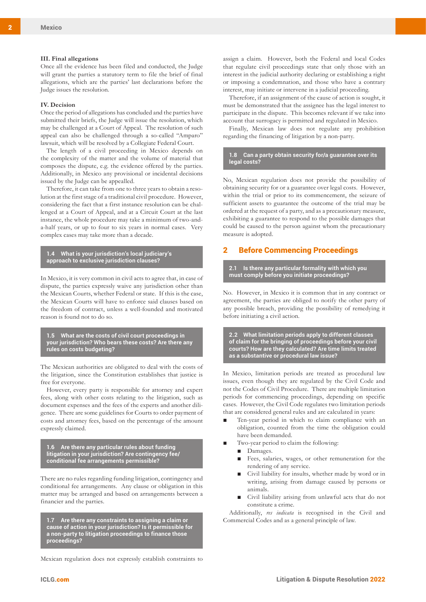#### **III. Final allegations**

Once all the evidence has been filed and conducted, the Judge will grant the parties a statutory term to file the brief of final allegations, which are the parties' last declarations before the Judge issues the resolution.

#### **IV. Decision**

Once the period of allegations has concluded and the parties have submitted their briefs, the Judge will issue the resolution, which may be challenged at a Court of Appeal. The resolution of such appeal can also be challenged through a so-called "Amparo" lawsuit, which will be resolved by a Collegiate Federal Court.

The length of a civil proceeding in Mexico depends on the complexity of the matter and the volume of material that composes the dispute, e.g. the evidence offered by the parties. Additionally, in Mexico any provisional or incidental decisions issued by the Judge can be appealled.

Therefore, it can take from one to three years to obtain a resolution at the first stage of a traditional civil procedure. However, considering the fact that a first instance resolution can be challenged at a Court of Appeal, and at a Circuit Court at the last instance, the whole procedure may take a minimum of two-anda-half years, or up to four to six years in normal cases. Very complex cases may take more than a decade.

**1.4 What is your jurisdiction's local judiciary's approach to exclusive jurisdiction clauses?**

In Mexico, it is very common in civil acts to agree that, in case of dispute, the parties expressly waive any jurisdiction other than the Mexican Courts, whether Federal or state. If this is the case, the Mexican Courts will have to enforce said clauses based on the freedom of contract, unless a well-founded and motivated reason is found not to do so.

**1.5 What are the costs of civil court proceedings in your jurisdiction? Who bears these costs? Are there any rules on costs budgeting?**

The Mexican authorities are obligated to deal with the costs of the litigation, since the Constitution establishes that justice is free for everyone.

However, every party is responsible for attorney and expert fees, along with other costs relating to the litigation, such as document expenses and the fees of the experts and another diligence. There are some guidelines for Courts to order payment of costs and attorney fees, based on the percentage of the amount expressly claimed.

**1.6 Are there any particular rules about funding litigation in your jurisdiction? Are contingency fee/ conditional fee arrangements permissible?** 

There are no rules regarding funding litigation, contingency and conditional fee arrangements. Any clause or obligation in this matter may be arranged and based on arrangements between a financier and the parties.

**1.7 Are there any constraints to assigning a claim or cause of action in your jurisdiction? Is it permissible for a non-party to litigation proceedings to finance those proceedings?** 

Mexican regulation does not expressly establish constraints to

assign a claim. However, both the Federal and local Codes that regulate civil proceedings state that only those with an interest in the judicial authority declaring or establishing a right or imposing a condemnation, and those who have a contrary interest, may initiate or intervene in a judicial proceeding.

Therefore, if an assignment of the cause of action is sought, it must be demonstrated that the assignee has the legal interest to participate in the dispute. This becomes relevant if we take into account that surrogacy is permitted and regulated in Mexico.

Finally, Mexican law does not regulate any prohibition regarding the financing of litigation by a non-party.

### **1.8 Can a party obtain security for/a guarantee over its legal costs?**

No, Mexican regulation does not provide the possibility of obtaining security for or a guarantee over legal costs. However, within the trial or prior to its commencement, the seizure of sufficient assets to guarantee the outcome of the trial may be ordered at the request of a party, and as a precautionary measure, exhibiting a guarantee to respond to the possible damages that could be caused to the person against whom the precautionary measure is adopted.

## 2 Before Commencing Proceedings

**2.1 Is there any particular formality with which you must comply before you initiate proceedings?**

No. However, in Mexico it is common that in any contract or agreement, the parties are obliged to notify the other party of any possible breach, providing the possibility of remedying it before initiating a civil action.

**2.2 What limitation periods apply to different classes of claim for the bringing of proceedings before your civil courts? How are they calculated? Are time limits treated as a substantive or procedural law issue?**

In Mexico, limitation periods are treated as procedural law issues, even though they are regulated by the Civil Code and not the Codes of Civil Procedure. There are multiple limitation periods for commencing proceedings, depending on specific cases. However, the Civil Code regulates two limitation periods that are considered general rules and are calculated in years:

- Ten-year period in which to claim compliance with an obligation, counted from the time the obligation could have been demanded.
- Two-year period to claim the following:
	- Damages.
	- Fees, salaries, wages, or other remuneration for the rendering of any service.
	- Civil liability for insults, whether made by word or in writing, arising from damage caused by persons or animals.
	- Civil liability arising from unlawful acts that do not constitute a crime.

Additionally, *res iudicata* is recognised in the Civil and Commercial Codes and as a general principle of law.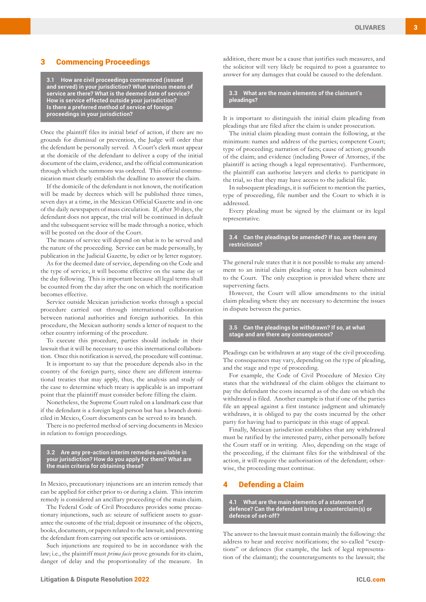## 3 Commencing Proceedings

**3.1 How are civil proceedings commenced (issued and served) in your jurisdiction? What various means of service are there? What is the deemed date of service? How is service effected outside your jurisdiction? Is there a preferred method of service of foreign proceedings in your jurisdiction?**

Once the plaintiff files its initial brief of action, if there are no grounds for dismissal or prevention, the Judge will order that the defendant be personally served. A Court's clerk must appear at the domicile of the defendant to deliver a copy of the initial document of the claim, evidence, and the official communication through which the summons was ordered. This official communication must clearly establish the deadline to answer the claim.

If the domicile of the defendant is not known, the notification will be made by decrees which will be published three times, seven days at a time, in the Mexican Official Gazette and in one of the daily newspapers of mass circulation. If, after 30 days, the defendant does not appear, the trial will be continued in default and the subsequent service will be made through a notice, which will be posted on the door of the Court.

The means of service will depend on what is to be served and the nature of the proceeding. Service can be made personally, by publication in the Judicial Gazette, by edict or by letter rogatory.

As for the deemed date of service, depending on the Code and the type of service, it will become effective on the same day or the day following. This is important because all legal terms shall be counted from the day after the one on which the notification becomes effective.

Service outside Mexican jurisdiction works through a special procedure carried out through international collaboration between national authorities and foreign authorities. In this procedure, the Mexican authority sends a letter of request to the other country informing of the procedure.

To execute this procedure, parties should include in their lawsuit that it will be necessary to use this international collaboration. Once this notification is served, the procedure will continue.

It is important to say that the procedure depends also in the country of the foreign party, since there are different international treaties that may apply, thus, the analysis and study of the case to determine which treaty is applicable is an important point that the plaintiff must consider before filling the claim.

Nonetheless, the Supreme Court ruled on a landmark case that if the defendant is a foreign legal person but has a branch domiciled in Mexico, Court documents can be served to its branch.

There is no preferred method of serving documents in Mexico in relation to foreign proceedings.

**3.2 Are any pre-action interim remedies available in your jurisdiction? How do you apply for them? What are the main criteria for obtaining these?**

In Mexico, precautionary injunctions are an interim remedy that can be applied for either prior to or during a claim. This interim remedy is considered an ancillary proceeding of the main claim.

The Federal Code of Civil Procedures provides some precautionary injunctions, such as: seizure of sufficient assets to guarantee the outcome of the trial; deposit or insurance of the objects, books, documents, or papers related to the lawsuit; and preventing the defendant from carrying out specific acts or omissions.

Such injunctions are required to be in accordance with the law; i.e., the plaintiff must *prima facie* prove grounds for its claim, danger of delay and the proportionality of the measure. In

addition, there must be a cause that justifies such measures, and the solicitor will very likely be required to post a guarantee to answer for any damages that could be caused to the defendant.

**3.3 What are the main elements of the claimant's pleadings?**

It is important to distinguish the initial claim pleading from pleadings that are filed after the claim is under prosecution.

The initial claim pleading must contain the following, at the minimum: names and address of the parties; competent Court; type of proceeding; narration of facts; cause of action; grounds of the claim; and evidence (including Power of Attorney, if the plaintiff is acting though a legal representative). Furthermore, the plaintiff can authorise lawyers and clerks to participate in the trial, so that they may have access to the judicial file.

In subsequent pleadings, it is sufficient to mention the parties, type of proceeding, file number and the Court to which it is addressed.

Every pleading must be signed by the claimant or its legal representative.

## **3.4 Can the pleadings be amended? If so, are there any restrictions?**

The general rule states that it is not possible to make any amendment to an initial claim pleading once it has been submitted to the Court. The only exception is provided where there are supervening facts.

However, the Court will allow amendments to the initial claim pleading where they are necessary to determine the issues in dispute between the parties.

## **3.5 Can the pleadings be withdrawn? If so, at what stage and are there any consequences?**

Pleadings can be withdrawn at any stage of the civil proceeding. The consequences may vary, depending on the type of pleading, and the stage and type of proceeding.

For example, the Code of Civil Procedure of Mexico City states that the withdrawal of the claim obliges the claimant to pay the defendant the costs incurred as of the date on which the withdrawal is filed. Another example is that if one of the parties file an appeal against a first instance judgment and ultimately withdraws, it is obliged to pay the costs incurred by the other party for having had to participate in this stage of appeal.

Finally, Mexican jurisdiction establishes that any withdrawal must be ratified by the interested party, either personally before the Court staff or in writing. Also, depending on the stage of the proceeding, if the claimant files for the withdrawal of the action, it will require the authorisation of the defendant; otherwise, the proceeding must continue.

## 4 Defending a Claim

**4.1 What are the main elements of a statement of defence? Can the defendant bring a counterclaim(s) or defence of set-off?**

The answer to the lawsuit must contain mainly the following: the address to hear and receive notifications; the so-called "exceptions" or defences (for example, the lack of legal representation of the claimant); the counterarguments to the lawsuit; the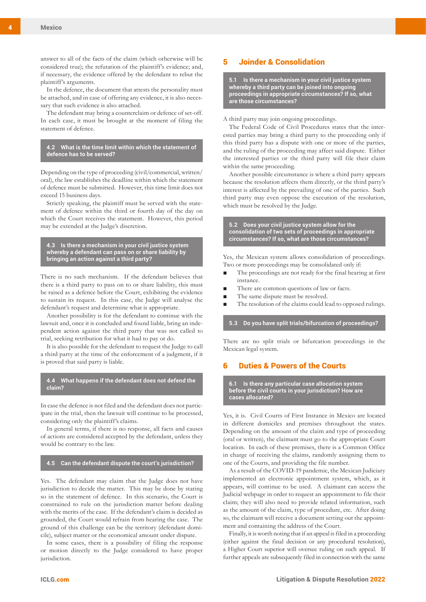answer to all of the facts of the claim (which otherwise will be considered true); the refutation of the plaintiff's evidence; and, if necessary, the evidence offered by the defendant to rebut the plaintiff's arguments.

In the defence, the document that attests the personality must be attached, and in case of offering any evidence, it is also necessary that such evidence is also attached.

The defendant may bring a counterclaim or defence of set-off. In each case, it must be brought at the moment of filing the statement of defence.

**4.2 What is the time limit within which the statement of defence has to be served?**

Depending on the type of proceeding (civil/commercial, written/ oral), the law establishes the deadline within which the statement of defence must be submitted. However, this time limit does not exceed 15 business days.

Strictly speaking, the plaintiff must be served with the statement of defence within the third or fourth day of the day on which the Court receives the statement. However, this period may be extended at the Judge's discretion.

**4.3 Is there a mechanism in your civil justice system whereby a defendant can pass on or share liability by bringing an action against a third party?**

There is no such mechanism. If the defendant believes that there is a third party to pass on to or share liability, this must be raised as a defence before the Court, exhibiting the evidence to sustain its request. In this case, the Judge will analyse the defendant's request and determine what is appropriate.

Another possibility is for the defendant to continue with the lawsuit and, once it is concluded and found liable, bring an independent action against the third party that was not called to trial, seeking retribution for what it had to pay or do.

It is also possible for the defendant to request the Judge to call a third party at the time of the enforcement of a judgment, if it is proved that said party is liable.

**4.4 What happens if the defendant does not defend the claim?**

In case the defence is not filed and the defendant does not participate in the trial, then the lawsuit will continue to be processed, considering only the plaintiff's claims.

In general terms, if there is no response, all facts and causes of actions are considered accepted by the defendant, unless they would be contrary to the law.

#### **4.5 Can the defendant dispute the court's jurisdiction?**

Yes. The defendant may claim that the Judge does not have jurisdiction to decide the matter. This may be done by stating so in the statement of defence. In this scenario, the Court is constrained to rule on the jurisdiction matter before dealing with the merits of the case. If the defendant's claim is decided as grounded, the Court would refrain from hearing the case. The ground of this challenge can be the territory (defendant domicile), subject matter or the economical amount under dispute.

In some cases, there is a possibility of filing the response or motion directly to the Judge considered to have proper jurisdiction.

# 5 Joinder & Consolidation

**5.1 Is there a mechanism in your civil justice system whereby a third party can be joined into ongoing proceedings in appropriate circumstances? If so, what are those circumstances?**

A third party may join ongoing proceedings.

The Federal Code of Civil Procedures states that the interested parties may bring a third party to the proceeding only if this third party has a dispute with one or more of the parties, and the ruling of the proceeding may affect said dispute. Either the interested parties or the third party will file their claim within the same proceeding.

Another possible circumstance is where a third party appears because the resolution affects them directly, or the third party's interest is affected by the prevailing of one of the parties. Such third party may even oppose the execution of the resolution, which must be resolved by the Judge.

**5.2 Does your civil justice system allow for the consolidation of two sets of proceedings in appropriate circumstances? If so, what are those circumstances?**

Yes, the Mexican system allows consolidation of proceedings. Two or more proceedings may be consolidated only if:

- The proceedings are not ready for the final hearing at first instance.
- There are common questions of law or facts.
- The same dispute must be resolved.
- The resolution of the claims could lead to opposed rulings.

**5.3 Do you have split trials/bifurcation of proceedings?**

There are no split trials or bifurcation proceedings in the Mexican legal system.

# 6 Duties & Powers of the Courts

**6.1 Is there any particular case allocation system before the civil courts in your jurisdiction? How are cases allocated?**

Yes, it is. Civil Courts of First Instance in Mexico are located in different domiciles and premises throughout the states. Depending on the amount of the claim and type of proceeding (oral or written), the claimant must go to the appropriate Court location. In each of these premises, there is a Common Office in charge of receiving the claims, randomly assigning them to one of the Courts, and providing the file number.

As a result of the COVID-19 pandemic, the Mexican Judiciary implemented an electronic appointment system, which, as it appears, will continue to be used. A claimant can access the Judicial webpage in order to request an appointment to file their claim; they will also need to provide related information, such as the amount of the claim, type of procedure, etc. After doing so, the claimant will receive a document setting out the appointment and containing the address of the Court.

Finally, it is worth noting that if an appeal is filed in a proceeding (either against the final decision or any procedural resolution), a Higher Court superior will oversee ruling on such appeal. If further appeals are subsequently filed in connection with the same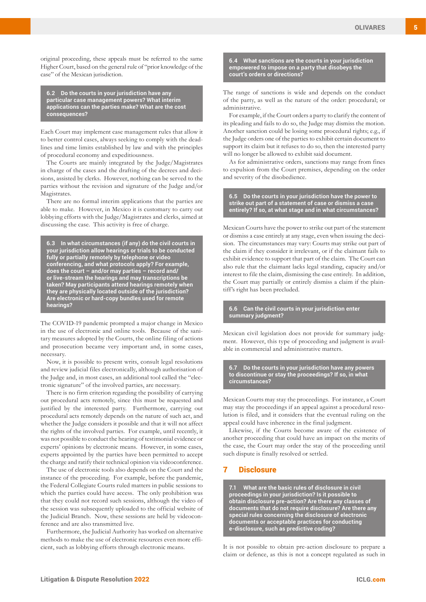original proceeding, these appeals must be referred to the same Higher Court, based on the general rule of "prior knowledge of the case" of the Mexican jurisdiction.

**6.2 Do the courts in your jurisdiction have any particular case management powers? What interim applications can the parties make? What are the cost consequences?**

Each Court may implement case management rules that allow it to better control cases, always seeking to comply with the deadlines and time limits established by law and with the principles of procedural economy and expeditiousness.

The Courts are mainly integrated by the Judge/Magistrates in charge of the cases and the drafting of the decrees and decisions, assisted by clerks. However, nothing can be served to the parties without the revision and signature of the Judge and/or **Magistrates** 

There are no formal interim applications that the parties are able to make. However, in Mexico it is customary to carry out lobbying efforts with the Judge/Magistrates and clerks, aimed at discussing the case. This activity is free of charge.

**6.3 In what circumstances (if any) do the civil courts in your jurisdiction allow hearings or trials to be conducted fully or partially remotely by telephone or video conferencing, and what protocols apply? For example, does the court – and/or may parties – record and/ or live-stream the hearings and may transcriptions be taken? May participants attend hearings remotely when they are physically located outside of the jurisdiction? Are electronic or hard-copy bundles used for remote hearings?**

The COVID-19 pandemic prompted a major change in Mexico in the use of electronic and online tools. Because of the sanitary measures adopted by the Courts, the online filing of actions and prosecution became very important and, in some cases, necessary.

Now, it is possible to present writs, consult legal resolutions and review judicial files electronically, although authorisation of the Judge and, in most cases, an additional tool called the "electronic signature" of the involved parties, are necessary.

There is no firm criterion regarding the possibility of carrying out procedural acts remotely, since this must be requested and justified by the interested party. Furthermore, carrying out procedural acts remotely depends on the nature of such act, and whether the Judge considers it possible and that it will not affect the rights of the involved parties. For example, until recently, it was not possible to conduct the hearing of testimonial evidence or experts' opinions by electronic means. However, in some cases, experts appointed by the parties have been permitted to accept the charge and ratify their technical opinion via videoconference.

The use of electronic tools also depends on the Court and the instance of the proceeding. For example, before the pandemic, the Federal Collegiate Courts ruled matters in public sessions to which the parties could have access. The only prohibition was that they could not record such sessions, although the video of the session was subsequently uploaded to the official website of the Judicial Branch. Now, these sessions are held by videoconference and are also transmitted live.

Furthermore, the Judicial Authority has worked on alternative methods to make the use of electronic resources even more efficient, such as lobbying efforts through electronic means.

**6.4 What sanctions are the courts in your jurisdiction empowered to impose on a party that disobeys the court's orders or directions?**

The range of sanctions is wide and depends on the conduct of the party, as well as the nature of the order: procedural; or administrative.

For example, if the Court orders a party to clarify the content of its pleading and fails to do so, the Judge may dismiss the motion. Another sanction could be losing some procedural rights; e.g., if the Judge orders one of the parties to exhibit certain document to support its claim but it refuses to do so, then the interested party will no longer be allowed to exhibit said document.

As for administrative orders, sanctions may range from fines to expulsion from the Court premises, depending on the order and severity of the disobedience.

**6.5 Do the courts in your jurisdiction have the power to strike out part of a statement of case or dismiss a case entirely? If so, at what stage and in what circumstances?**

Mexican Courts have the power to strike out part of the statement or dismiss a case entirely at any stage, even when issuing the decision. The circumstances may vary: Courts may strike out part of the claim if they consider it irrelevant, or if the claimant fails to exhibit evidence to support that part of the claim. The Court can also rule that the claimant lacks legal standing, capacity and/or interest to file the claim, dismissing the case entirely. In addition, the Court may partially or entirely dismiss a claim if the plaintiff's right has been precluded.

#### **6.6 Can the civil courts in your jurisdiction enter summary judgment?**

Mexican civil legislation does not provide for summary judgment. However, this type of proceeding and judgment is available in commercial and administrative matters.

**6.7 Do the courts in your jurisdiction have any powers to discontinue or stay the proceedings? If so, in what circumstances?**

Mexican Courts may stay the proceedings. For instance, a Court may stay the proceedings if an appeal against a procedural resolution is filed, and it considers that the eventual ruling on the appeal could have inherence in the final judgment.

Likewise, if the Courts become aware of the existence of another proceeding that could have an impact on the merits of the case, the Court may order the stay of the proceeding until such dispute is finally resolved or settled.

## 7 Disclosure

**7.1 What are the basic rules of disclosure in civil proceedings in your jurisdiction? Is it possible to obtain disclosure pre-action? Are there any classes of documents that do not require disclosure? Are there any special rules concerning the disclosure of electronic documents or acceptable practices for conducting e-disclosure, such as predictive coding?**

It is not possible to obtain pre-action disclosure to prepare a claim or defence, as this is not a concept regulated as such in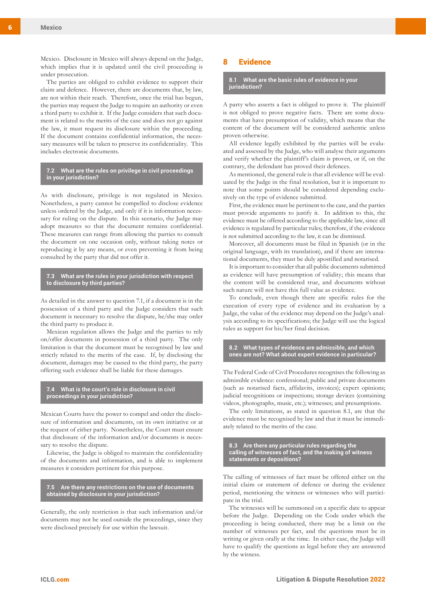Mexico. Disclosure in Mexico will always depend on the Judge, which implies that it is updated until the civil proceeding is under prosecution.

The parties are obliged to exhibit evidence to support their claim and defence. However, there are documents that, by law, are not within their reach. Therefore, once the trial has begun, the parties may request the Judge to require an authority or even a third party to exhibit it. If the Judge considers that such document is related to the merits of the case and does not go against the law, it must request its disclosure within the proceeding. If the document contains confidential information, the necessary measures will be taken to preserve its confidentiality. This includes electronic documents.

### **7.2 What are the rules on privilege in civil proceedings in your jurisdiction?**

As with disclosure, privilege is not regulated in Mexico. Nonetheless, a party cannot be compelled to disclose evidence unless ordered by the Judge, and only if it is information necessary for ruling on the dispute. In this scenario, the Judge may adopt measures so that the document remains confidential. These measures can range from allowing the parties to consult the document on one occasion only, without taking notes or reproducing it by any means, or even preventing it from being consulted by the party that did not offer it.

## **7.3 What are the rules in your jurisdiction with respect to disclosure by third parties?**

As detailed in the answer to question 7.1, if a document is in the possession of a third party and the Judge considers that such document is necessary to resolve the dispute, he/she may order the third party to produce it.

Mexican regulation allows the Judge and the parties to rely on/offer documents in possession of a third party. The only limitation is that the document must be recognised by law and strictly related to the merits of the case. If, by disclosing the document, damages may be caused to the third party, the party offering such evidence shall be liable for these damages.

#### **7.4 What is the court's role in disclosure in civil proceedings in your jurisdiction?**

Mexican Courts have the power to compel and order the disclosure of information and documents, on its own initiative or at the request of either party. Nonetheless, the Court must ensure that disclosure of the information and/or documents is necessary to resolve the dispute.

Likewise, the Judge is obliged to maintain the confidentiality of the documents and information, and is able to implement measures it considers pertinent for this purpose.

**7.5 Are there any restrictions on the use of documents obtained by disclosure in your jurisdiction?**

Generally, the only restriction is that such information and/or documents may not be used outside the proceedings, since they were disclosed precisely for use within the lawsuit.

# 8 Evidence

**8.1 What are the basic rules of evidence in your jurisdiction?**

A party who asserts a fact is obliged to prove it. The plaintiff is not obliged to prove negative facts. There are some documents that have presumption of validity, which means that the content of the document will be considered authentic unless proven otherwise.

All evidence legally exhibited by the parties will be evaluated and assessed by the Judge, who will analyse their arguments and verify whether the plaintiff's claim is proven, or if, on the contrary, the defendant has proved their defences.

As mentioned, the general rule is that all evidence will be evaluated by the Judge in the final resolution, but it is important to note that some points should be considered depending exclusively on the type of evidence submitted.

First, the evidence must be pertinent to the case, and the parties must provide arguments to justify it. In addition to this, the evidence must be offered according to the applicable law, since all evidence is regulated by particular rules; therefore, if the evidence is not submitted according to the law, it can be dismissed.

Moreover, all documents must be filed in Spanish (or in the original language, with its translation), and if there are international documents, they must be duly apostilled and notarised.

It is important to consider that all public documents submitted as evidence will have presumption of validity; this means that the content will be considered true, and documents without such nature will not have this full value as evidence.

To conclude, even though there are specific rules for the execution of every type of evidence and its evaluation by a Judge, the value of the evidence may depend on the Judge's analysis according to its specifications; the Judge will use the logical rules as support for his/her final decision.

**8.2 What types of evidence are admissible, and which ones are not? What about expert evidence in particular?**

The Federal Code of Civil Procedures recognises the following as admissible evidence: confessional; public and private documents (such as notarised facts, affidavits, invoices); expert opinions; judicial recognitions or inspections; storage devices (containing videos, photographs, music, etc.); witnesses; and presumptions.

The only limitations, as stated in question 8.1, are that the evidence must be recognised by law and that it must be immediately related to the merits of the case.

**8.3 Are there any particular rules regarding the calling of witnesses of fact, and the making of witness statements or depositions?**

The calling of witnesses of fact must be offered either on the initial claim or statement of defence or during the evidence period, mentioning the witness or witnesses who will participate in the trial.

The witnesses will be summoned on a specific date to appear before the Judge. Depending on the Code under which the proceeding is being conducted, there may be a limit on the number of witnesses per fact, and the questions must be in writing or given orally at the time. In either case, the Judge will have to qualify the questions as legal before they are answered by the witness.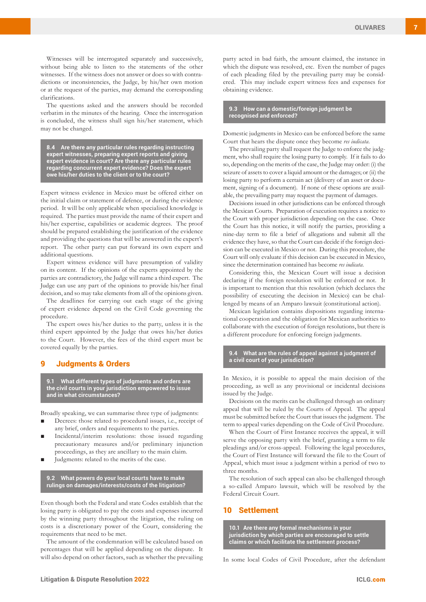Witnesses will be interrogated separately and successively, without being able to listen to the statements of the other witnesses. If the witness does not answer or does so with contradictions or inconsistencies, the Judge, by his/her own motion or at the request of the parties, may demand the corresponding clarifications.

The questions asked and the answers should be recorded verbatim in the minutes of the hearing. Once the interrogation is concluded, the witness shall sign his/her statement, which may not be changed.

**8.4 Are there any particular rules regarding instructing expert witnesses, preparing expert reports and giving expert evidence in court? Are there any particular rules regarding concurrent expert evidence? Does the expert owe his/her duties to the client or to the court?** 

Expert witness evidence in Mexico must be offered either on the initial claim or statement of defence, or during the evidence period. It will be only applicable when specialised knowledge is required. The parties must provide the name of their expert and his/her expertise, capabilities or academic degrees. The proof should be prepared establishing the justification of the evidence and providing the questions that will be answered in the expert's report. The other party can put forward its own expert and additional questions.

Expert witness evidence will have presumption of validity on its content. If the opinions of the experts appointed by the parties are contradictory, the Judge will name a third expert. The Judge can use any part of the opinions to provide his/her final decision, and so may take elements from all of the opinions given.

The deadlines for carrying out each stage of the giving of expert evidence depend on the Civil Code governing the procedure.

The expert owes his/her duties to the party, unless it is the third expert appointed by the Judge that owes his/her duties to the Court. However, the fees of the third expert must be covered equally by the parties.

# 9 Judgments & Orders

**9.1 What different types of judgments and orders are the civil courts in your jurisdiction empowered to issue and in what circumstances?**

Broadly speaking, we can summarise three type of judgments:

- Decrees: those related to procedural issues, i.e., receipt of any brief, orders and requirements to the parties.
- Incidental/interim resolutions: those issued regarding precautionary measures and/or preliminary injunction proceedings, as they are ancillary to the main claim.
- Judgments: related to the merits of the case.

**9.2 What powers do your local courts have to make rulings on damages/interests/costs of the litigation?**

Even though both the Federal and state Codes establish that the losing party is obligated to pay the costs and expenses incurred by the winning party throughout the litigation, the ruling on costs is a discretionary power of the Court, considering the requirements that need to be met.

The amount of the condemnation will be calculated based on percentages that will be applied depending on the dispute. It will also depend on other factors, such as whether the prevailing party acted in bad faith, the amount claimed, the instance in which the dispute was resolved, etc. Even the number of pages of each pleading filed by the prevailing party may be considered. This may include expert witness fees and expenses for obtaining evidence.

**9.3 How can a domestic/foreign judgment be recognised and enforced?**

Domestic judgments in Mexico can be enforced before the same Court that hears the dispute once they become *res iudicata.* 

The prevailing party shall request the Judge to enforce the judgment, who shall require the losing party to comply. If it fails to do so, depending on the merits of the case, the Judge may order: (i) the seizure of assets to cover a liquid amount or the damages; or (ii) the losing party to perform a certain act (delivery of an asset or document, signing of a document). If none of these options are available, the prevailing party may request the payment of damages.

Decisions issued in other jurisdictions can be enforced through the Mexican Courts. Preparation of execution requires a notice to the Court with proper jurisdiction depending on the case. Once the Court has this notice, it will notify the parties, providing a nine-day term to file a brief of allegations and submit all the evidence they have, so that the Court can decide if the foreign decision can be executed in Mexico or not. During this procedure, the Court will only evaluate if this decision can be executed in Mexico, since the determination contained has become *res iudicata*.

Considering this, the Mexican Court will issue a decision declaring if the foreign resolution will be enforced or not. It is important to mention that this resolution (which declares the possibility of executing the decision in Mexico) can be challenged by means of an Amparo lawsuit (constitutional action).

Mexican legislation contains dispositions regarding international cooperation and the obligation for Mexican authorities to collaborate with the execution of foreign resolutions, but there is a different procedure for enforcing foreign judgments.

**9.4 What are the rules of appeal against a judgment of a civil court of your jurisdiction?**

In Mexico, it is possible to appeal the main decision of the proceeding, as well as any provisional or incidental decisions issued by the Judge.

Decisions on the merits can be challenged through an ordinary appeal that will be ruled by the Courts of Appeal. The appeal must be submitted before the Court that issues the judgment. The term to appeal varies depending on the Code of Civil Procedure.

When the Court of First Instance receives the appeal, it will serve the opposing party with the brief, granting a term to file pleadings and/or cross-appeal. Following the legal procedures, the Court of First Instance will forward the file to the Court of Appeal, which must issue a judgment within a period of two to three months.

The resolution of such appeal can also be challenged through a so-called Amparo lawsuit, which will be resolved by the Federal Circuit Court.

## 10 Settlement

**10.1 Are there any formal mechanisms in your jurisdiction by which parties are encouraged to settle claims or which facilitate the settlement process?**

In some local Codes of Civil Procedure, after the defendant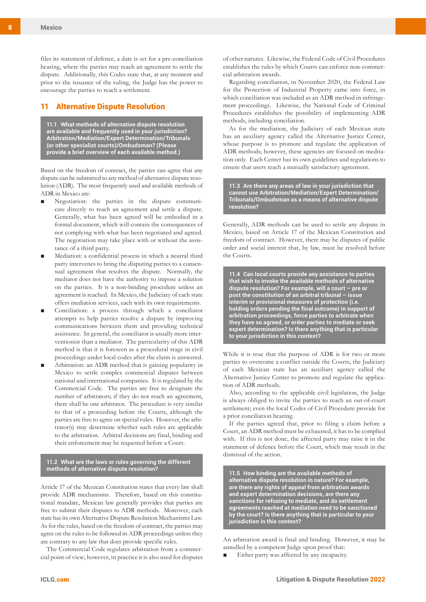files its statement of defence, a date is set for a pre-conciliation hearing, where the parties may reach an agreement to settle the dispute. Additionally, this Codes state that, at any moment and prior to the issuance of the ruling, the Judge has the power to encourage the parties to reach a settlement.

# 11 Alternative Dispute Resolution

**11.1 What methods of alternative dispute resolution are available and frequently used in your jurisdiction? Arbitration/Mediation/Expert Determination/Tribunals (or other specialist courts)/Ombudsman? (Please provide a brief overview of each available method.)**

Based on the freedom of contract, the parties can agree that any dispute can be submitted to any method of alternative dispute resolution (ADR). The most frequently used and available methods of ADR in Mexico are:

- Negotiation: the parties in the dispute communicate directly to reach an agreement and settle a dispute. Generally, what has been agreed will be embodied in a formal document, which will contain the consequences of not complying with what has been negotiated and agreed. The negotiation may take place with or without the assistance of a third party.
- Mediation: a confidential process in which a neutral third party intervenes to bring the disputing parties to a consensual agreement that resolves the dispute. Normally, the mediator does not have the authority to impose a solution on the parties. It is a non-binding procedure unless an agreement is reached. In Mexico, the Judiciary of each state offers mediation services, each with its own requirements.
- Conciliation: a process through which a conciliator attempts to help parties resolve a dispute by improving communications between them and providing technical assistance. In general, the conciliator is usually more interventionist than a mediator. The particularity of this ADR method is that it is foreseen as a procedural stage in civil proceedings under local codes after the claim is answered.
- Arbitration: an ADR method that is gaining popularity in Mexico to settle complex commercial disputes between national and international companies. It is regulated by the Commercial Code. The parties are free to designate the number of arbitrators; if they do not reach an agreement, there shall be one arbitrator. The procedure is very similar to that of a proceeding before the Courts, although the parties are free to agree on special rules. However, the arbitrator(s) may determine whether such rules are applicable to the arbitration. Arbitral decisions are final, binding and their enforcement may be requested before a Court.

**11.2 What are the laws or rules governing the different methods of alternative dispute resolution?**

Article 17 of the Mexican Constitution states that every law shall provide ADR mechanisms. Therefore, based on this constitutional mandate, Mexican law generally provides that parties are free to submit their disputes to ADR methods. Moreover, each state has its own Alternative Dispute Resolution Mechanisms Law. As for the rules, based on the freedom of contract, the parties may agree on the rules to be followed in ADR proceedings unless they are contrary to any law that does provide specific rules.

The Commercial Code regulates arbitration from a commercial point of view; however, in practice it is also used for disputes of other natures. Likewise, the Federal Code of Civil Procedures establishes the rules by which Courts can enforce non-commercial arbitration awards.

Regarding conciliation, in November 2020, the Federal Law for the Protection of Industrial Property came into force, in which conciliation was included as an ADR method in infringement proceedings. Likewise, the National Code of Criminal Procedures establishes the possibility of implementing ADR methods, including conciliation.

As for the mediation, the Judiciary of each Mexican state has an auxiliary agency called the Alternative Justice Center, whose purpose is to promote and regulate the application of ADR methods; however, these agencies are focused on meditation only. Each Center has its own guidelines and regulations to ensure that users reach a mutually satisfactory agreement.

**11.3 Are there any areas of law in your jurisdiction that cannot use Arbitration/Mediation/Expert Determination/ Tribunals/Ombudsman as a means of alternative dispute resolution?**

Generally, ADR methods can be used to settle any dispute in Mexico, based on Article 17 of the Mexican Constitution and freedom of contract. However, there may be disputes of public order and social interest that, by law, must be resolved before the Courts.

**11.4 Can local courts provide any assistance to parties that wish to invoke the available methods of alternative dispute resolution? For example, will a court – pre or post the constitution of an arbitral tribunal – issue interim or provisional measures of protection (i.e. holding orders pending the final outcome) in support of arbitration proceedings, force parties to arbitrate when they have so agreed, or order parties to mediate or seek expert determination? Is there anything that is particular to your jurisdiction in this context?**

While it is true that the purpose of ADR is for two or more parties to overcome a conflict outside the Courts, the Judiciary of each Mexican state has an auxiliary agency called the Alternative Justice Center to promote and regulate the application of ADR methods.

Also, according to the applicable civil legislation, the Judge is always obliged to invite the parties to reach an out-of-court settlement; even the local Codes of Civil Procedure provide for a prior conciliation hearing.

If the parties agreed that, prior to filing a claim before a Court, an ADR method must be exhausted, it has to be complied with. If this is not done, the affected party may raise it in the statement of defence before the Court, which may result in the dismissal of the action.

**11.5 How binding are the available methods of alternative dispute resolution in nature? For example, are there any rights of appeal from arbitration awards and expert determination decisions, are there any sanctions for refusing to mediate, and do settlement agreements reached at mediation need to be sanctioned by the court? Is there anything that is particular to your jurisdiction in this context?**

An arbitration award is final and binding. However, it may be annulled by a competent Judge upon proof that:

■ Either party was affected by any incapacity.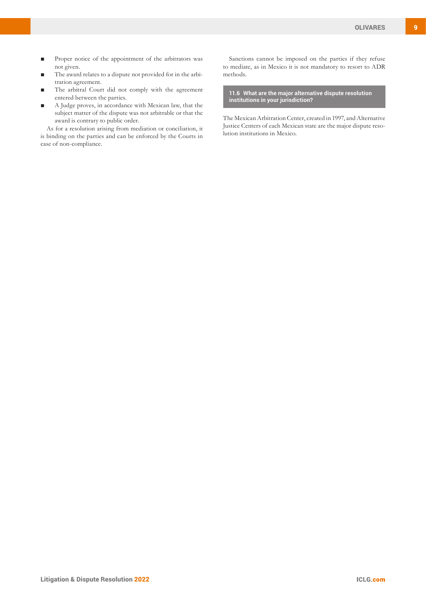- Proper notice of the appointment of the arbitrators was not given.
- The award relates to a dispute not provided for in the arbitration agreement.
- The arbitral Court did not comply with the agreement entered between the parties.
- A Judge proves, in accordance with Mexican law, that the subject matter of the dispute was not arbitrable or that the award is contrary to public order.

As for a resolution arising from mediation or conciliation, it is binding on the parties and can be enforced by the Courts in case of non-compliance.

Sanctions cannot be imposed on the parties if they refuse to mediate, as in Mexico it is not mandatory to resort to ADR methods.

**11.6 What are the major alternative dispute resolution institutions in your jurisdiction?**

The Mexican Arbitration Center, created in 1997, and Alternative Justice Centers of each Mexican state are the major dispute resolution institutions in Mexico.